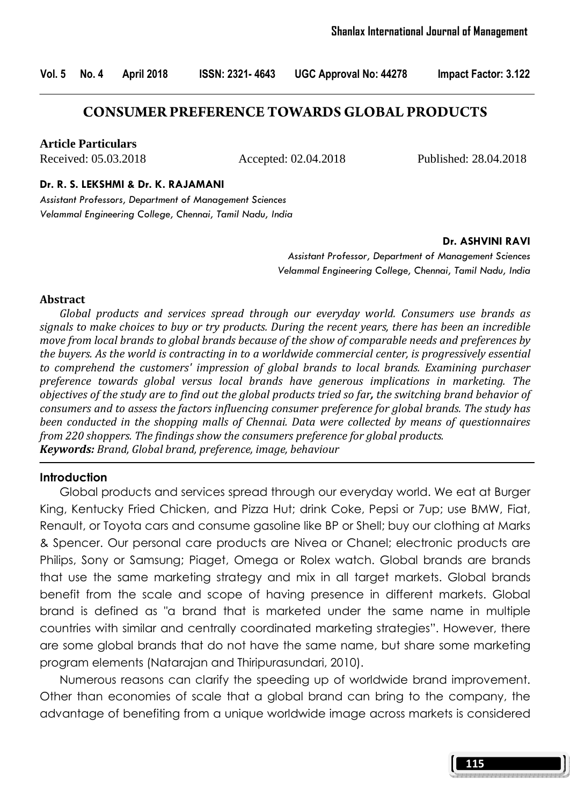Vol. 5 No. 4 April 2018 ISSN: 2321- 4643 UGC Approval No: 44278 Impact Factor: 3.122

### **CONSUMER PREFERENCE TOWARDS GLOBAL PRODUCTS**

**Article Particulars**

Received: 05.03.2018 Accepted: 02.04.2018 Published: 28.04.2018

#### Dr. R. S. LEKSHMI & Dr. K. RAJAMANI

Assistant Professors, Department of Management Sciences Velammal Engineering College, Chennai, Tamil Nadu, India

#### Dr. ASHVINI RAVI

Assistant Professor, Department of Management Sciences Velammal Engineering College, Chennai, Tamil Nadu, India

#### Abstract

Global products and services spread through our everyday world. Consumers use brands as signals to make choices to buy or try products. During the recent years, there has been an incredible move from local brands to global brands because of the show of comparable needs and preferences by the buyers. As the world is contracting in to a worldwide commercial center, is progressively essential to comprehend the customers' impression of global brands to local brands. Examining purchaser preference towards global versus local brands have generous implications in marketing. The objectives of the study are to find out the global products tried so far, the switching brand behavior of consumers and to assess the factors influencing consumer preference for global brands. The study has been conducted in the shopping malls of Chennai. Data were collected by means of questionnaires from 220 shoppers. The findings show the consumers preference for global products. Keywords: Brand, Global brand, preference, image, behaviour

#### **Introduction**

 Global products and services spread through our everyday world. We eat at Burger King, Kentucky Fried Chicken, and Pizza Hut; drink Coke, Pepsi or 7up; use BMW, Fiat, Renault, or Toyota cars and consume gasoline like BP or Shell; buy our clothing at Marks & Spencer. Our personal care products are Nivea or Chanel; electronic products are Philips, Sony or Samsung; Piaget, Omega or Rolex watch. Global brands are brands that use the same marketing strategy and mix in all target markets. Global brands benefit from the scale and scope of having presence in different markets. Global brand is defined as "a brand that is marketed under the same name in multiple countries with similar and centrally coordinated marketing strategies". However, there are some global brands that do not have the same name, but share some marketing program elements (Natarajan and Thiripurasundari, 2010).

 Numerous reasons can clarify the speeding up of worldwide brand improvement. Other than economies of scale that a global brand can bring to the company, the advantage of benefiting from a unique worldwide image across markets is considered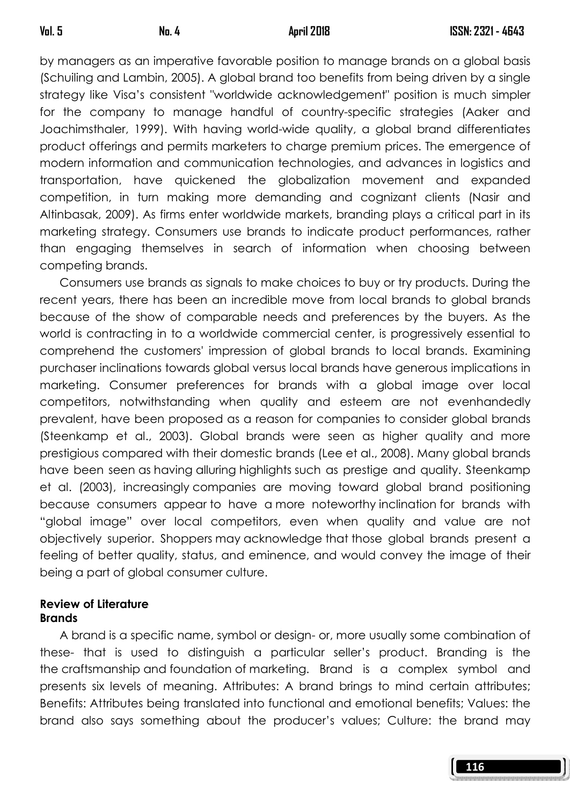by managers as an imperative favorable position to manage brands on a global basis (Schuiling and Lambin, 2005). A global brand too benefits from being driven by a single strategy like Visa's consistent "worldwide acknowledgement" position is much simpler for the company to manage handful of country-specific strategies (Aaker and Joachimsthaler, 1999). With having world-wide quality, a global brand differentiates product offerings and permits marketers to charge premium prices. The emergence of modern information and communication technologies, and advances in logistics and transportation, have quickened the globalization movement and expanded competition, in turn making more demanding and cognizant clients (Nasir and Altinbasak, 2009). As firms enter worldwide markets, branding plays a critical part in its marketing strategy. Consumers use brands to indicate product performances, rather than engaging themselves in search of information when choosing between competing brands.

 Consumers use brands as signals to make choices to buy or try products. During the recent years, there has been an incredible move from local brands to global brands because of the show of comparable needs and preferences by the buyers. As the world is contracting in to a worldwide commercial center, is progressively essential to comprehend the customers' impression of global brands to local brands. Examining purchaser inclinations towards global versus local brands have generous implications in marketing. Consumer preferences for brands with a global image over local competitors, notwithstanding when quality and esteem are not evenhandedly prevalent, have been proposed as a reason for companies to consider global brands (Steenkamp et al., 2003). Global brands were seen as higher quality and more prestigious compared with their domestic brands (Lee et al., 2008). Many global brands have been seen as having alluring highlights such as prestige and quality. Steenkamp et al. (2003), increasingly companies are moving toward global brand positioning because consumers appear to have a more noteworthy inclination for brands with "global image" over local competitors, even when quality and value are not objectively superior. Shoppers may acknowledge that those global brands present a feeling of better quality, status, and eminence, and would convey the image of their being a part of global consumer culture.

#### Review of Literature **Brands**

 A brand is a specific name, symbol or design- or, more usually some combination of these- that is used to distinguish a particular seller's product. Branding is the the craftsmanship and foundation of marketing. Brand is a complex symbol and presents six levels of meaning. Attributes: A brand brings to mind certain attributes; Benefits: Attributes being translated into functional and emotional benefits; Values: the brand also says something about the producer's values; Culture: the brand may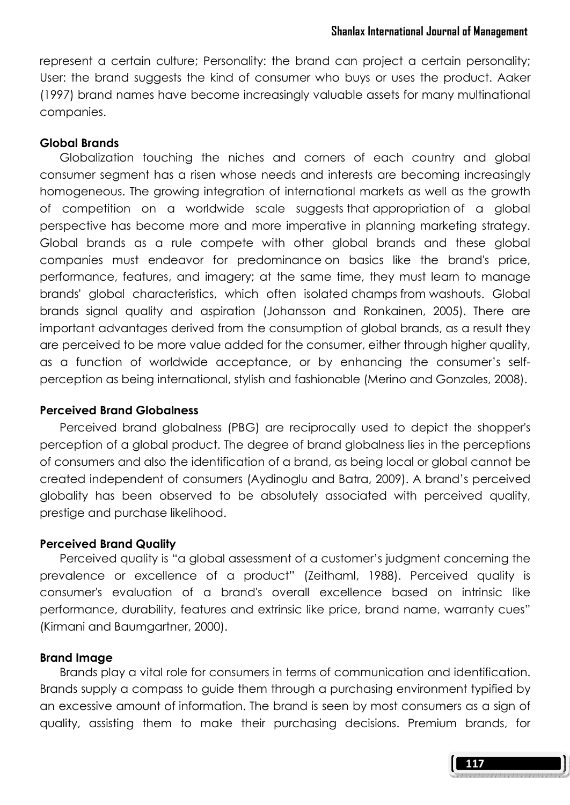represent a certain culture; Personality: the brand can project a certain personality; User: the brand suggests the kind of consumer who buys or uses the product. Aaker (1997) brand names have become increasingly valuable assets for many multinational companies.

#### Global Brands

 Globalization touching the niches and corners of each country and global consumer segment has a risen whose needs and interests are becoming increasingly homogeneous. The growing integration of international markets as well as the growth of competition on a worldwide scale suggests that appropriation of a global perspective has become more and more imperative in planning marketing strategy. Global brands as a rule compete with other global brands and these global companies must endeavor for predominance on basics like the brand's price, performance, features, and imagery; at the same time, they must learn to manage brands' global characteristics, which often isolated champs from washouts. Global brands signal quality and aspiration (Johansson and Ronkainen, 2005). There are important advantages derived from the consumption of global brands, as a result they are perceived to be more value added for the consumer, either through higher quality, as a function of worldwide acceptance, or by enhancing the consumer's selfperception as being international, stylish and fashionable (Merino and Gonzales, 2008).

#### Perceived Brand Globalness

 Perceived brand globalness (PBG) are reciprocally used to depict the shopper's perception of a global product. The degree of brand globalness lies in the perceptions of consumers and also the identification of a brand, as being local or global cannot be created independent of consumers (Aydinoglu and Batra, 2009). A brand's perceived globality has been observed to be absolutely associated with perceived quality, prestige and purchase likelihood.

#### Perceived Brand Quality

 Perceived quality is "a global assessment of a customer's judgment concerning the prevalence or excellence of a product" (Zeithaml, 1988). Perceived quality is consumer's evaluation of a brand's overall excellence based on intrinsic like performance, durability, features and extrinsic like price, brand name, warranty cues" (Kirmani and Baumgartner, 2000).

#### Brand Image

 Brands play a vital role for consumers in terms of communication and identification. Brands supply a compass to guide them through a purchasing environment typified by an excessive amount of information. The brand is seen by most consumers as a sign of quality, assisting them to make their purchasing decisions. Premium brands, for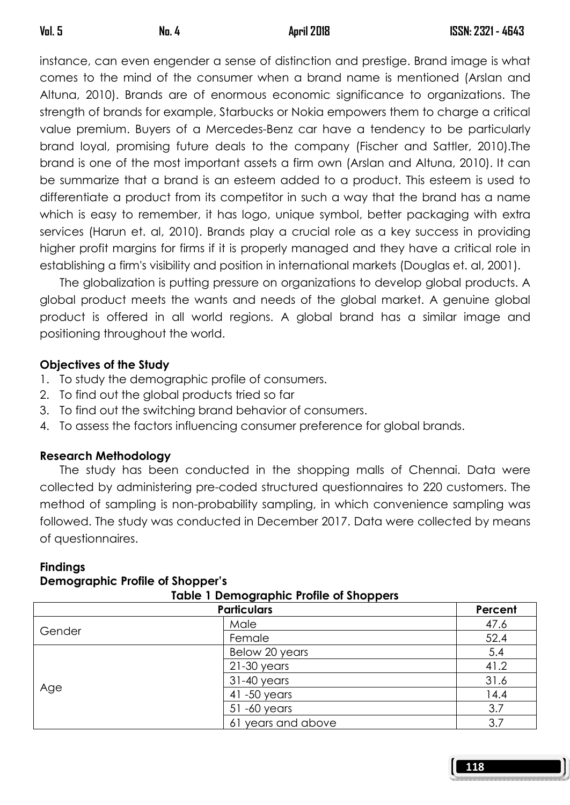instance, can even engender a sense of distinction and prestige. Brand image is what comes to the mind of the consumer when a brand name is mentioned (Arslan and Altuna, 2010). Brands are of enormous economic significance to organizations. The strength of brands for example, Starbucks or Nokia empowers them to charge a critical value premium. Buyers of a Mercedes-Benz car have a tendency to be particularly brand loyal, promising future deals to the company (Fischer and Sattler, 2010).The brand is one of the most important assets a firm own (Arslan and Altuna, 2010). It can be summarize that a brand is an esteem added to a product. This esteem is used to differentiate a product from its competitor in such a way that the brand has a name which is easy to remember, it has logo, unique symbol, better packaging with extra services (Harun et. al, 2010). Brands play a crucial role as a key success in providing higher profit margins for firms if it is properly managed and they have a critical role in establishing a firm's visibility and position in international markets (Douglas et. al, 2001).

 The globalization is putting pressure on organizations to develop global products. A global product meets the wants and needs of the global market. A genuine global product is offered in all world regions. A global brand has a similar image and positioning throughout the world.

# Objectives of the Study

- 1. To study the demographic profile of consumers.
- 2. To find out the global products tried so far
- 3. To find out the switching brand behavior of consumers.
- 4. To assess the factors influencing consumer preference for global brands.

# Research Methodology

 The study has been conducted in the shopping malls of Chennai. Data were collected by administering pre-coded structured questionnaires to 220 customers. The method of sampling is non-probability sampling, in which convenience sampling was followed. The study was conducted in December 2017. Data were collected by means of questionnaires.

| <b>Report of the property of the Computer</b> |                    |         |
|-----------------------------------------------|--------------------|---------|
| <b>Particulars</b>                            |                    | Percent |
| Gender                                        | Male               | 47.6    |
|                                               | Female             | 52.4    |
| Age                                           | Below 20 years     | 5.4     |
|                                               | $21-30$ years      | 41.2    |
|                                               | $31-40$ years      | 31.6    |
|                                               | 41 -50 years       | 14.4    |
|                                               | 51-60 years        | 3.7     |
|                                               | 61 years and above | 3.7     |

# **Findings**

#### Demographic Profile of Shopper's mographic Profile of Sh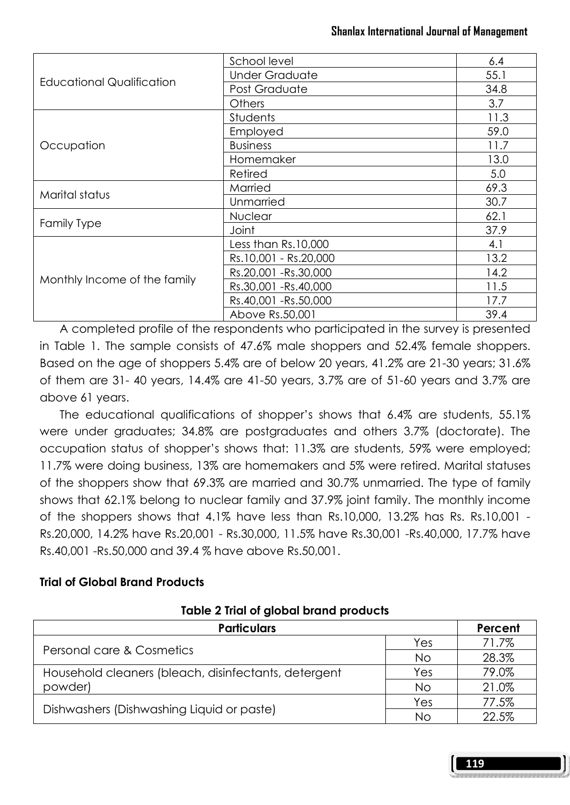| <b>Educational Qualification</b> | School level          | 6.4  |
|----------------------------------|-----------------------|------|
|                                  | <b>Under Graduate</b> | 55.1 |
|                                  | Post Graduate         | 34.8 |
|                                  | Others                | 3.7  |
|                                  | <b>Students</b>       | 11.3 |
|                                  | Employed              | 59.0 |
| Occupation                       | <b>Business</b>       | 11.7 |
|                                  | Homemaker             | 13.0 |
|                                  | Retired               | 5.0  |
|                                  | Married               | 69.3 |
| Marital status                   | Unmarried             | 30.7 |
| <b>Family Type</b>               | <b>Nuclear</b>        | 62.1 |
|                                  | Joint                 | 37.9 |
| Monthly Income of the family     | Less than Rs.10,000   | 4.1  |
|                                  | Rs.10,001 - Rs.20,000 | 13.2 |
|                                  | Rs.20,001 - Rs.30,000 | 14.2 |
|                                  | Rs.30,001 - Rs.40,000 | 11.5 |
|                                  | Rs.40,001 -Rs.50,000  | 17.7 |
|                                  | Above Rs.50,001       | 39.4 |

A completed profile of the respondents who participated in the survey is presented in Table 1. The sample consists of 47.6% male shoppers and 52.4% female shoppers. Based on the age of shoppers 5.4% are of below 20 years, 41.2% are 21-30 years; 31.6% of them are 31- 40 years, 14.4% are 41-50 years, 3.7% are of 51-60 years and 3.7% are above 61 years.

 The educational qualifications of shopper's shows that 6.4% are students, 55.1% were under graduates; 34.8% are postgraduates and others 3.7% (doctorate). The occupation status of shopper's shows that: 11.3% are students, 59% were employed; 11.7% were doing business, 13% are homemakers and 5% were retired. Marital statuses of the shoppers show that 69.3% are married and 30.7% unmarried. The type of family shows that 62.1% belong to nuclear family and 37.9% joint family. The monthly income of the shoppers shows that 4.1% have less than Rs.10,000, 13.2% has Rs. Rs.10,001 - Rs.20,000, 14.2% have Rs.20,001 - Rs.30,000, 11.5% have Rs.30,001 -Rs.40,000, 17.7% have Rs.40,001 -Rs.50,000 and 39.4 % have above Rs.50,001.

### Trial of Global Brand Products

### Table 2 Trial of global brand products

| <b>Particulars</b>                                   |     | Percent |
|------------------------------------------------------|-----|---------|
|                                                      | Yes | 71.7%   |
| Personal care & Cosmetics                            | Νo  | 28.3%   |
| Household cleaners (bleach, disinfectants, detergent | Yes | 79.0%   |
| powder)                                              | Νo  | 21.0%   |
| Dishwashers (Dishwashing Liquid or paste)            | Yes | 77.5%   |
|                                                      | Νo  | 22.5%   |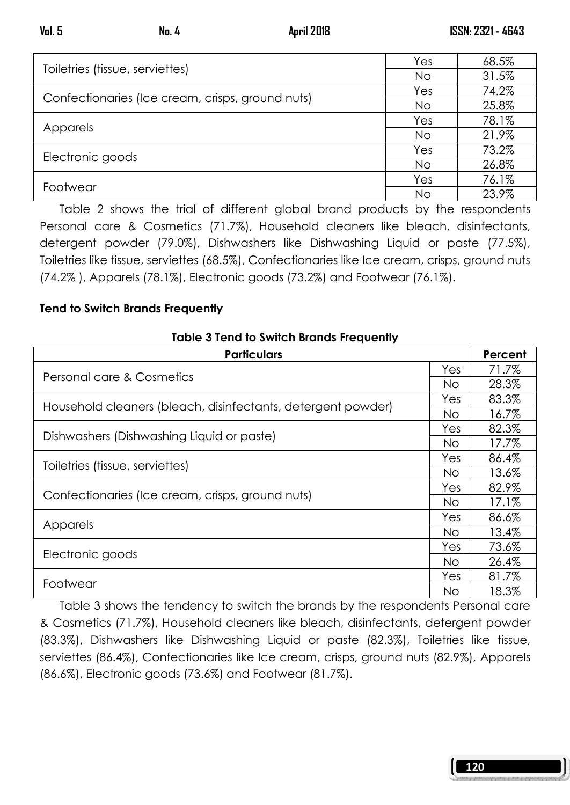| Toiletries (tissue, serviettes)                  | Yes       | 68.5% |
|--------------------------------------------------|-----------|-------|
|                                                  | No        | 31.5% |
| Confectionaries (Ice cream, crisps, ground nuts) | Yes       | 74.2% |
|                                                  | <b>No</b> | 25.8% |
|                                                  | Yes       | 78.1% |
| Apparels                                         | <b>No</b> | 21.9% |
|                                                  | Yes       | 73.2% |
| Electronic goods                                 | No        | 26.8% |
|                                                  | Yes       | 76.1% |
| Footwear                                         | No        | 23.9% |

Table 2 shows the trial of different global brand products by the respondents Personal care & Cosmetics (71.7%), Household cleaners like bleach, disinfectants, detergent powder (79.0%), Dishwashers like Dishwashing Liquid or paste (77.5%), Toiletries like tissue, serviettes (68.5%), Confectionaries like Ice cream, crisps, ground nuts (74.2% ), Apparels (78.1%), Electronic goods (73.2%) and Footwear (76.1%).

# Tend to Switch Brands Frequently

### Table 3 Tend to Switch Brands Frequently

| <b>Particulars</b>                                           |     | Percent |
|--------------------------------------------------------------|-----|---------|
| Personal care & Cosmetics                                    |     | 71.7%   |
|                                                              |     | 28.3%   |
|                                                              | Yes | 83.3%   |
| Household cleaners (bleach, disinfectants, detergent powder) |     | 16.7%   |
|                                                              | Yes | 82.3%   |
| Dishwashers (Dishwashing Liquid or paste)                    |     | 17.7%   |
|                                                              | Yes | 86.4%   |
| Toiletries (tissue, serviettes)                              |     | 13.6%   |
|                                                              | Yes | 82.9%   |
| Confectionaries (Ice cream, crisps, ground nuts)             |     | 17.1%   |
| Apparels                                                     |     | 86.6%   |
|                                                              |     | 13.4%   |
|                                                              |     | 73.6%   |
| Electronic goods                                             | No. | 26.4%   |
| Footwear                                                     |     | 81.7%   |
|                                                              |     | 18.3%   |

 Table 3 shows the tendency to switch the brands by the respondents Personal care & Cosmetics (71.7%), Household cleaners like bleach, disinfectants, detergent powder (83.3%), Dishwashers like Dishwashing Liquid or paste (82.3%), Toiletries like tissue, serviettes (86.4%), Confectionaries like Ice cream, crisps, ground nuts (82.9%), Apparels (86.6%), Electronic goods (73.6%) and Footwear (81.7%).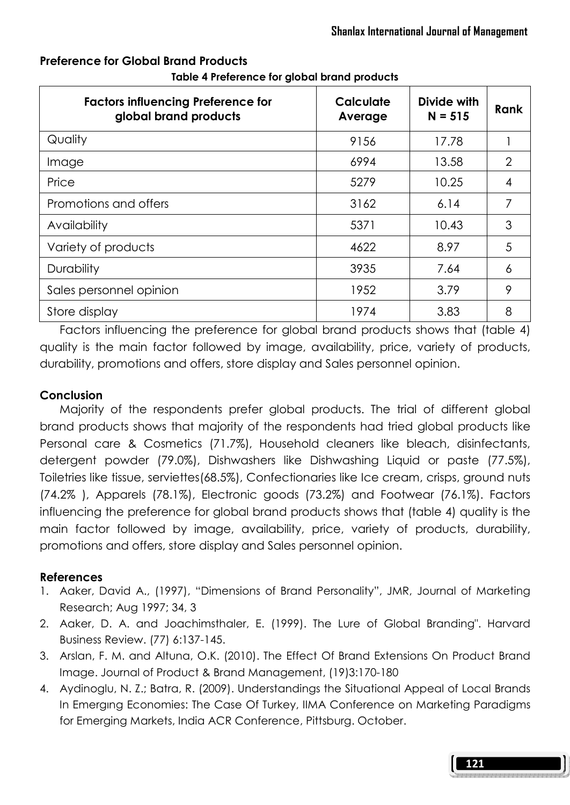| <b>Factors influencing Preference for</b><br>global brand products | Calculate<br>Average | Divide with<br>$N = 515$ | Rank |
|--------------------------------------------------------------------|----------------------|--------------------------|------|
| Quality                                                            | 9156                 | 17.78                    |      |
| Image                                                              | 6994                 | 13.58                    | 2    |
| Price                                                              | 5279                 | 10.25                    | 4    |
| Promotions and offers                                              | 3162                 | 6.14                     | 7    |
| Availability                                                       | 5371                 | 10.43                    | 3    |
| Variety of products                                                | 4622                 | 8.97                     | 5    |
| <b>Durability</b>                                                  | 3935                 | 7.64                     | 6    |
| Sales personnel opinion                                            | 1952                 | 3.79                     | 9    |
| Store display                                                      | 1974                 | 3.83                     | 8    |

# Preference for Global Brand Products

Table 4 Preference for global brand products

 Factors influencing the preference for global brand products shows that (table 4) quality is the main factor followed by image, availability, price, variety of products, durability, promotions and offers, store display and Sales personnel opinion.

# **Conclusion**

 Majority of the respondents prefer global products. The trial of different global brand products shows that majority of the respondents had tried global products like Personal care & Cosmetics (71.7%), Household cleaners like bleach, disinfectants, detergent powder (79.0%), Dishwashers like Dishwashing Liquid or paste (77.5%), Toiletries like tissue, serviettes(68.5%), Confectionaries like Ice cream, crisps, ground nuts (74.2% ), Apparels (78.1%), Electronic goods (73.2%) and Footwear (76.1%). Factors influencing the preference for global brand products shows that (table 4) quality is the main factor followed by image, availability, price, variety of products, durability, promotions and offers, store display and Sales personnel opinion.

# References

- 1. Aaker, David A., (1997), "Dimensions of Brand Personality", JMR, Journal of Marketing Research; Aug 1997; 34, 3
- 2. Aaker, D. A. and Joachimsthaler, E. (1999). The Lure of Global Branding". Harvard Business Review. (77) 6:137-145.
- 3. Arslan, F. M. and Altuna, O.K. (2010). The Effect Of Brand Extensions On Product Brand Image. Journal of Product & Brand Management, (19)3:170-180
- 4. Aydinoglu, N. Z.; Batra, R. (2009). Understandings the Situational Appeal of Local Brands In Emergıng Economies: The Case Of Turkey, IIMA Conference on Marketing Paradigms for Emerging Markets, India ACR Conference, Pittsburg. October.